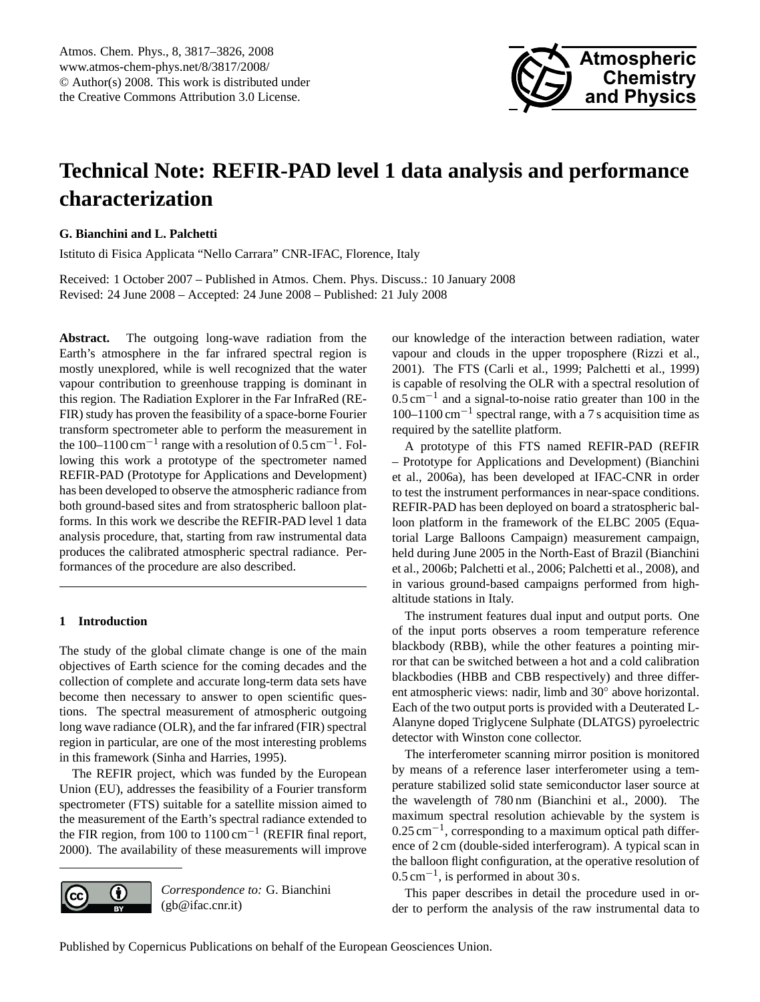

# <span id="page-0-0"></span>**Technical Note: REFIR-PAD level 1 data analysis and performance characterization**

**G. Bianchini and L. Palchetti**

Istituto di Fisica Applicata "Nello Carrara" CNR-IFAC, Florence, Italy

Received: 1 October 2007 – Published in Atmos. Chem. Phys. Discuss.: 10 January 2008 Revised: 24 June 2008 – Accepted: 24 June 2008 – Published: 21 July 2008

**Abstract.** The outgoing long-wave radiation from the Earth's atmosphere in the far infrared spectral region is mostly unexplored, while is well recognized that the water vapour contribution to greenhouse trapping is dominant in this region. The Radiation Explorer in the Far InfraRed (RE-FIR) study has proven the feasibility of a space-borne Fourier transform spectrometer able to perform the measurement in the 100–1100 cm<sup>-1</sup> range with a resolution of 0.5 cm<sup>-1</sup>. Following this work a prototype of the spectrometer named REFIR-PAD (Prototype for Applications and Development) has been developed to observe the atmospheric radiance from both ground-based sites and from stratospheric balloon platforms. In this work we describe the REFIR-PAD level 1 data analysis procedure, that, starting from raw instrumental data produces the calibrated atmospheric spectral radiance. Performances of the procedure are also described.

## **1 Introduction**

The study of the global climate change is one of the main objectives of Earth science for the coming decades and the collection of complete and accurate long-term data sets have become then necessary to answer to open scientific questions. The spectral measurement of atmospheric outgoing long wave radiance (OLR), and the far infrared (FIR) spectral region in particular, are one of the most interesting problems in this framework [\(Sinha and Harries,](#page-9-0) [1995\)](#page-9-0).

The REFIR project, which was funded by the European Union (EU), addresses the feasibility of a Fourier transform spectrometer (FTS) suitable for a satellite mission aimed to the measurement of the Earth's spectral radiance extended to the FIR region, from 100 to  $1100 \text{ cm}^{-1}$  [\(REFIR final report,](#page-9-1) [2000\)](#page-9-1). The availability of these measurements will improve



*Correspondence to:* G. Bianchini (gb@ifac.cnr.it)

our knowledge of the interaction between radiation, water vapour and clouds in the upper troposphere [\(Rizzi et al.,](#page-9-2) [2001\)](#page-9-2). The FTS [\(Carli et al.,](#page-9-3) [1999;](#page-9-3) [Palchetti et al.,](#page-9-4) [1999\)](#page-9-4) is capable of resolving the OLR with a spectral resolution of 0.5 cm−<sup>1</sup> and a signal-to-noise ratio greater than 100 in the 100–1100 cm−<sup>1</sup> spectral range, with a 7 s acquisition time as required by the satellite platform.

A prototype of this FTS named REFIR-PAD (REFIR – Prototype for Applications and Development) [\(Bianchini](#page-9-5) [et al.,](#page-9-5) [2006a\)](#page-9-5), has been developed at IFAC-CNR in order to test the instrument performances in near-space conditions. REFIR-PAD has been deployed on board a stratospheric balloon platform in the framework of the ELBC 2005 (Equatorial Large Balloons Campaign) measurement campaign, held during June 2005 in the North-East of Brazil [\(Bianchini](#page-9-6) [et al.,](#page-9-6) [2006b;](#page-9-6) [Palchetti et al.,](#page-9-7) [2006;](#page-9-7) [Palchetti et al.,](#page-9-8) [2008\)](#page-9-8), and in various ground-based campaigns performed from highaltitude stations in Italy.

The instrument features dual input and output ports. One of the input ports observes a room temperature reference blackbody (RBB), while the other features a pointing mirror that can be switched between a hot and a cold calibration blackbodies (HBB and CBB respectively) and three different atmospheric views: nadir, limb and 30◦ above horizontal. Each of the two output ports is provided with a Deuterated L-Alanyne doped Triglycene Sulphate (DLATGS) pyroelectric detector with Winston cone collector.

The interferometer scanning mirror position is monitored by means of a reference laser interferometer using a temperature stabilized solid state semiconductor laser source at the wavelength of 780 nm [\(Bianchini et al.,](#page-9-9) [2000\)](#page-9-9). The maximum spectral resolution achievable by the system is 0.25 cm<sup>-1</sup>, corresponding to a maximum optical path difference of 2 cm (double-sided interferogram). A typical scan in the balloon flight configuration, at the operative resolution of 0.5 cm−<sup>1</sup> , is performed in about 30 s.

This paper describes in detail the procedure used in order to perform the analysis of the raw instrumental data to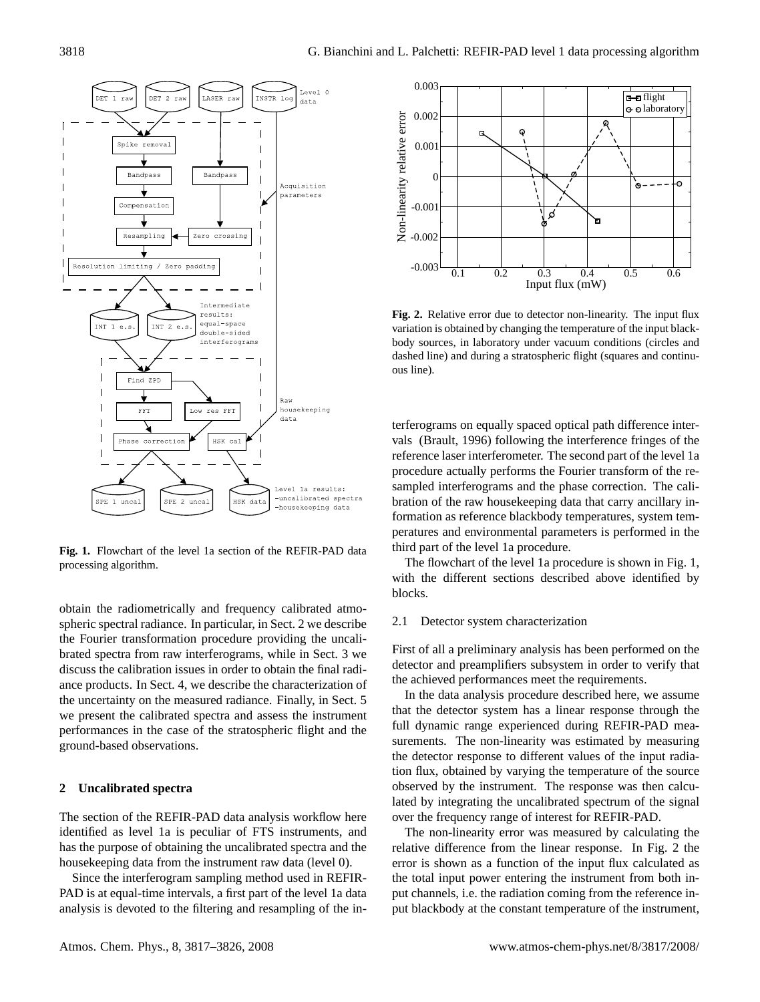

<span id="page-1-1"></span>**Fig. 1.** Flowchart of the level 1a section of the REFIR-PAD data processing algorithm.

obtain the radiometrically and frequency calibrated atmospheric spectral radiance. In particular, in Sect. [2](#page-1-0) we describe the Fourier transformation procedure providing the uncalibrated spectra from raw interferograms, while in Sect. [3](#page-4-0) we discuss the calibration issues in order to obtain the final radiance products. In Sect. [4,](#page-5-0) we describe the characterization of the uncertainty on the measured radiance. Finally, in Sect. [5](#page-7-0) we present the calibrated spectra and assess the instrument performances in the case of the stratospheric flight and the ground-based observations.

## <span id="page-1-0"></span>**2 Uncalibrated spectra**

The section of the REFIR-PAD data analysis workflow here identified as level 1a is peculiar of FTS instruments, and has the purpose of obtaining the uncalibrated spectra and the housekeeping data from the instrument raw data (level 0).

Since the interferogram sampling method used in REFIR-PAD is at equal-time intervals, a first part of the level 1a data



<span id="page-1-2"></span>**Fig. 2.** Relative error due to detector non-linearity. The input flux variation is obtained by changing the temperature of the input blackbody sources, in laboratory under vacuum conditions (circles and dashed line) and during a stratospheric flight (squares and continuous line).

terferograms on equally spaced optical path difference intervals [\(Brault,](#page-9-10) [1996\)](#page-9-10) following the interference fringes of the reference laser interferometer. The second part of the level 1a procedure actually performs the Fourier transform of the resampled interferograms and the phase correction. The calibration of the raw housekeeping data that carry ancillary information as reference blackbody temperatures, system temperatures and environmental parameters is performed in the third part of the level 1a procedure.

The flowchart of the level 1a procedure is shown in Fig. [1,](#page-1-1) with the different sections described above identified by blocks.

## 2.1 Detector system characterization

First of all a preliminary analysis has been performed on the detector and preamplifiers subsystem in order to verify that the achieved performances meet the requirements.

In the data analysis procedure described here, we assume that the detector system has a linear response through the full dynamic range experienced during REFIR-PAD measurements. The non-linearity was estimated by measuring the detector response to different values of the input radiation flux, obtained by varying the temperature of the source observed by the instrument. The response was then calculated by integrating the uncalibrated spectrum of the signal over the frequency range of interest for REFIR-PAD.

The non-linearity error was measured by calculating the relative difference from the linear response. In Fig. [2](#page-1-2) the error is shown as a function of the input flux calculated as the total input power entering the instrument from both input channels, i.e. the radiation coming from the reference input blackbody at the constant temperature of the instrument,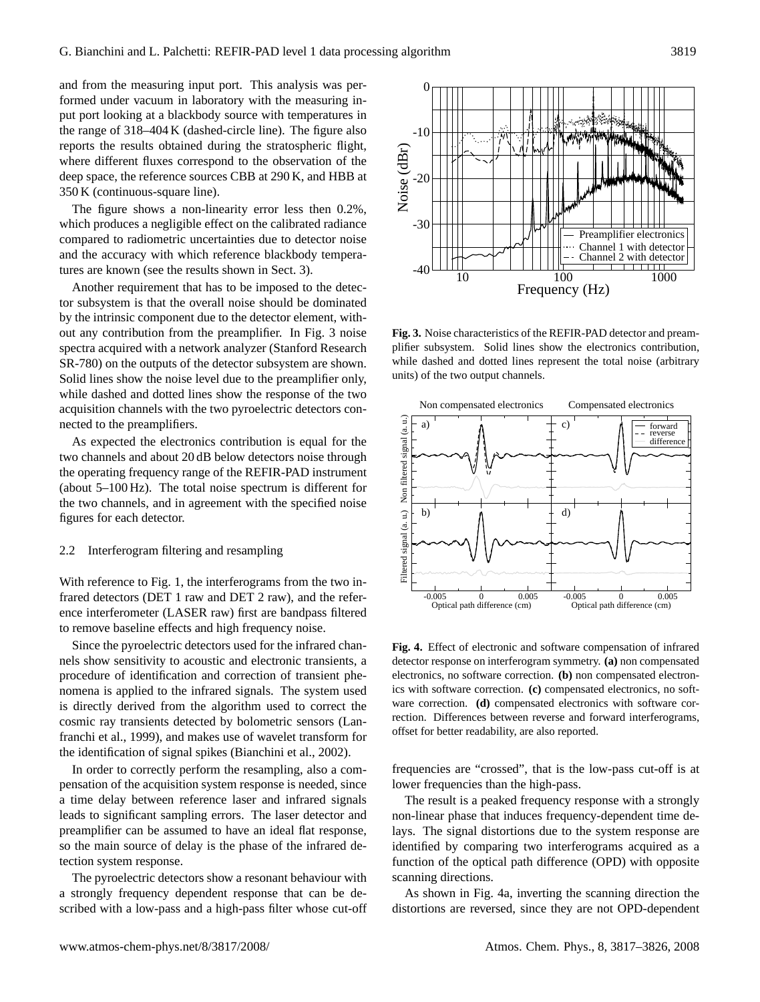and from the measuring input port. This analysis was performed under vacuum in laboratory with the measuring input port looking at a blackbody source with temperatures in the range of 318–404 K (dashed-circle line). The figure also reports the results obtained during the stratospheric flight, where different fluxes correspond to the observation of the deep space, the reference sources CBB at 290 K, and HBB at 350 K (continuous-square line).

The figure shows a non-linearity error less then 0.2%, which produces a negligible effect on the calibrated radiance compared to radiometric uncertainties due to detector noise and the accuracy with which reference blackbody temperatures are known (see the results shown in Sect. [3\)](#page-4-0).

Another requirement that has to be imposed to the detector subsystem is that the overall noise should be dominated by the intrinsic component due to the detector element, without any contribution from the preamplifier. In Fig. [3](#page-2-0) noise spectra acquired with a network analyzer (Stanford Research SR-780) on the outputs of the detector subsystem are shown. Solid lines show the noise level due to the preamplifier only, while dashed and dotted lines show the response of the two acquisition channels with the two pyroelectric detectors connected to the preamplifiers.

As expected the electronics contribution is equal for the two channels and about 20 dB below detectors noise through the operating frequency range of the REFIR-PAD instrument (about 5–100 Hz). The total noise spectrum is different for the two channels, and in agreement with the specified noise figures for each detector.

## 2.2 Interferogram filtering and resampling

With reference to Fig. [1,](#page-1-1) the interferograms from the two infrared detectors (DET 1 raw and DET 2 raw), and the reference interferometer (LASER raw) first are bandpass filtered to remove baseline effects and high frequency noise.

Since the pyroelectric detectors used for the infrared channels show sensitivity to acoustic and electronic transients, a procedure of identification and correction of transient phenomena is applied to the infrared signals. The system used is directly derived from the algorithm used to correct the cosmic ray transients detected by bolometric sensors [\(Lan](#page-9-11)[franchi et al.,](#page-9-11) [1999\)](#page-9-11), and makes use of wavelet transform for the identification of signal spikes [\(Bianchini et al.,](#page-9-12) [2002\)](#page-9-12).

In order to correctly perform the resampling, also a compensation of the acquisition system response is needed, since a time delay between reference laser and infrared signals leads to significant sampling errors. The laser detector and preamplifier can be assumed to have an ideal flat response, so the main source of delay is the phase of the infrared detection system response.

The pyroelectric detectors show a resonant behaviour with a strongly frequency dependent response that can be de-



<span id="page-2-0"></span>**Fig. 3.** Noise characteristics of the REFIR-PAD detector and preamplifier subsystem. Solid lines show the electronics contribution, while dashed and dotted lines represent the total noise (arbitrary units) of the two output channels.



<span id="page-2-1"></span>**Fig. 4.** Effect of electronic and software compensation of infrared detector response on interferogram symmetry. **(a)** non compensated electronics, no software correction. **(b)** non compensated electronics with software correction. **(c)** compensated electronics, no software correction. **(d)** compensated electronics with software correction. Differences between reverse and forward interferograms, offset for better readability, are also reported.

frequencies are "crossed", that is the low-pass cut-off is at lower frequencies than the high-pass.

The result is a peaked frequency response with a strongly non-linear phase that induces frequency-dependent time delays. The signal distortions due to the system response are identified by comparing two interferograms acquired as a function of the optical path difference (OPD) with opposite scanning directions.

As shown in Fig. [4a](#page-2-1), inverting the scanning direction the distortions are reversed, since they are not OPD-dependent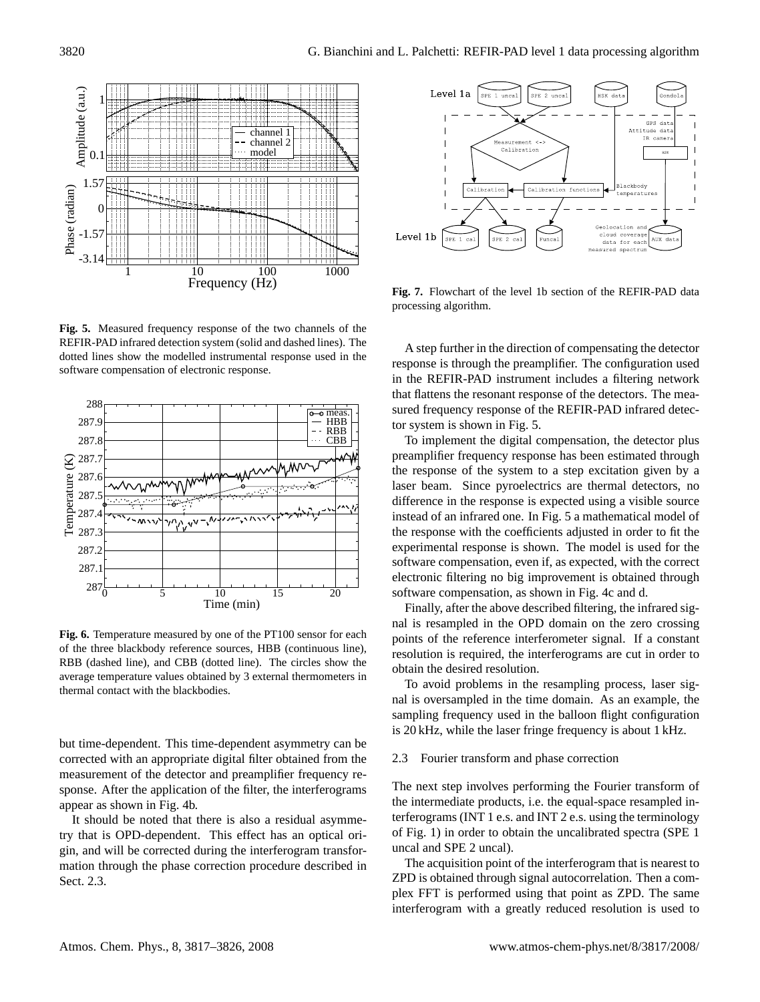

<span id="page-3-1"></span>**Fig. 5.** Measured frequency response of the two channels of the REFIR-PAD infrared detection system (solid and dashed lines). The dotted lines show the modelled instrumental response used in the software compensation of electronic response.



<span id="page-3-2"></span>**Fig. 6.** Temperature measured by one of the PT100 sensor for each of the three blackbody reference sources, HBB (continuous line), RBB (dashed line), and CBB (dotted line). The circles show the average temperature values obtained by 3 external thermometers in thermal contact with the blackbodies.

but time-dependent. This time-dependent asymmetry can be corrected with an appropriate digital filter obtained from the measurement of the detector and preamplifier frequency response. After the application of the filter, the interferograms appear as shown in Fig. [4b](#page-2-1).

It should be noted that there is also a residual asymmetry that is OPD-dependent. This effect has an optical origin, and will be corrected during the interferogram transformation through the phase correction procedure described in Sect. [2.3.](#page-3-0)



<span id="page-3-3"></span>**Fig. 7.** Flowchart of the level 1b section of the REFIR-PAD data processing algorithm.

A step further in the direction of compensating the detector response is through the preamplifier. The configuration used in the REFIR-PAD instrument includes a filtering network that flattens the resonant response of the detectors. The measured frequency response of the REFIR-PAD infrared detector system is shown in Fig. [5.](#page-3-1)

To implement the digital compensation, the detector plus preamplifier frequency response has been estimated through the response of the system to a step excitation given by a laser beam. Since pyroelectrics are thermal detectors, no difference in the response is expected using a visible source instead of an infrared one. In Fig. [5](#page-3-1) a mathematical model of the response with the coefficients adjusted in order to fit the experimental response is shown. The model is used for the software compensation, even if, as expected, with the correct electronic filtering no big improvement is obtained through software compensation, as shown in Fig. [4c](#page-2-1) and d.

Finally, after the above described filtering, the infrared signal is resampled in the OPD domain on the zero crossing points of the reference interferometer signal. If a constant resolution is required, the interferograms are cut in order to obtain the desired resolution.

To avoid problems in the resampling process, laser signal is oversampled in the time domain. As an example, the sampling frequency used in the balloon flight configuration is 20 kHz, while the laser fringe frequency is about 1 kHz.

## <span id="page-3-0"></span>2.3 Fourier transform and phase correction

The next step involves performing the Fourier transform of the intermediate products, i.e. the equal-space resampled interferograms (INT 1 e.s. and INT 2 e.s. using the terminology of Fig. [1\)](#page-1-1) in order to obtain the uncalibrated spectra (SPE 1 uncal and SPE 2 uncal).

The acquisition point of the interferogram that is nearest to ZPD is obtained through signal autocorrelation. Then a complex FFT is performed using that point as ZPD. The same interferogram with a greatly reduced resolution is used to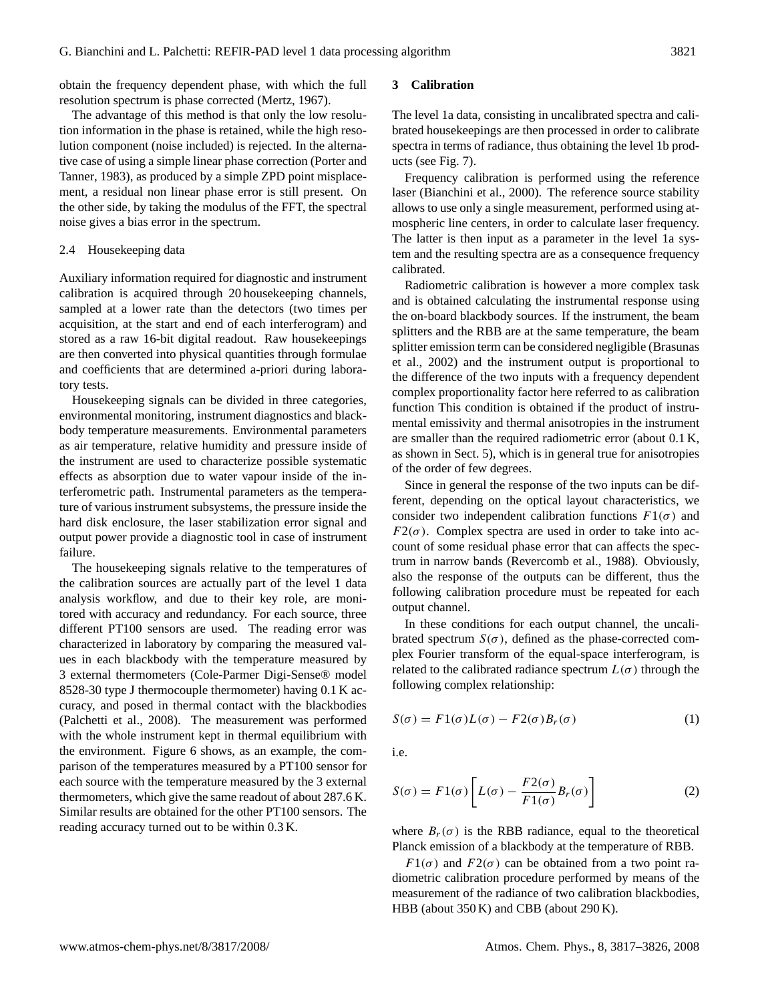obtain the frequency dependent phase, with which the full resolution spectrum is phase corrected [\(Mertz,](#page-9-13) [1967\)](#page-9-13).

The advantage of this method is that only the low resolution information in the phase is retained, while the high resolution component (noise included) is rejected. In the alternative case of using a simple linear phase correction [\(Porter and](#page-9-14) [Tanner,](#page-9-14) [1983\)](#page-9-14), as produced by a simple ZPD point misplacement, a residual non linear phase error is still present. On the other side, by taking the modulus of the FFT, the spectral noise gives a bias error in the spectrum.

## 2.4 Housekeeping data

Auxiliary information required for diagnostic and instrument calibration is acquired through 20 housekeeping channels, sampled at a lower rate than the detectors (two times per acquisition, at the start and end of each interferogram) and stored as a raw 16-bit digital readout. Raw housekeepings are then converted into physical quantities through formulae and coefficients that are determined a-priori during laboratory tests.

Housekeeping signals can be divided in three categories, environmental monitoring, instrument diagnostics and blackbody temperature measurements. Environmental parameters as air temperature, relative humidity and pressure inside of the instrument are used to characterize possible systematic effects as absorption due to water vapour inside of the interferometric path. Instrumental parameters as the temperature of various instrument subsystems, the pressure inside the hard disk enclosure, the laser stabilization error signal and output power provide a diagnostic tool in case of instrument failure.

The housekeeping signals relative to the temperatures of the calibration sources are actually part of the level 1 data analysis workflow, and due to their key role, are monitored with accuracy and redundancy. For each source, three different PT100 sensors are used. The reading error was characterized in laboratory by comparing the measured values in each blackbody with the temperature measured by 3 external thermometers (Cole-Parmer Digi-Sense® model 8528-30 type J thermocouple thermometer) having 0.1 K accuracy, and posed in thermal contact with the blackbodies [\(Palchetti et al.,](#page-9-15) [2008\)](#page-9-15). The measurement was performed with the whole instrument kept in thermal equilibrium with the environment. Figure [6](#page-3-2) shows, as an example, the comparison of the temperatures measured by a PT100 sensor for each source with the temperature measured by the 3 external thermometers, which give the same readout of about 287.6 K. Similar results are obtained for the other PT100 sensors. The reading accuracy turned out to be within 0.3 K.

## <span id="page-4-0"></span>**3 Calibration**

The level 1a data, consisting in uncalibrated spectra and calibrated housekeepings are then processed in order to calibrate spectra in terms of radiance, thus obtaining the level 1b products (see Fig. [7\)](#page-3-3).

Frequency calibration is performed using the reference laser [\(Bianchini et al.,](#page-9-9) [2000\)](#page-9-9). The reference source stability allows to use only a single measurement, performed using atmospheric line centers, in order to calculate laser frequency. The latter is then input as a parameter in the level 1a system and the resulting spectra are as a consequence frequency calibrated.

Radiometric calibration is however a more complex task and is obtained calculating the instrumental response using the on-board blackbody sources. If the instrument, the beam splitters and the RBB are at the same temperature, the beam splitter emission term can be considered negligible [\(Brasunas](#page-9-16) [et al.,](#page-9-16) [2002\)](#page-9-16) and the instrument output is proportional to the difference of the two inputs with a frequency dependent complex proportionality factor here referred to as calibration function This condition is obtained if the product of instrumental emissivity and thermal anisotropies in the instrument are smaller than the required radiometric error (about 0.1 K, as shown in Sect. [5\)](#page-7-0), which is in general true for anisotropies of the order of few degrees.

Since in general the response of the two inputs can be different, depending on the optical layout characteristics, we consider two independent calibration functions  $F1(\sigma)$  and  $F2(\sigma)$ . Complex spectra are used in order to take into account of some residual phase error that can affects the spectrum in narrow bands [\(Revercomb et al.,](#page-9-17) [1988\)](#page-9-17). Obviously, also the response of the outputs can be different, thus the following calibration procedure must be repeated for each output channel.

In these conditions for each output channel, the uncalibrated spectrum  $S(\sigma)$ , defined as the phase-corrected complex Fourier transform of the equal-space interferogram, is related to the calibrated radiance spectrum  $L(\sigma)$  through the following complex relationship:

$$
S(\sigma) = F1(\sigma)L(\sigma) - F2(\sigma)B_r(\sigma)
$$
\n(1)

i.e.

$$
S(\sigma) = F1(\sigma) \left[ L(\sigma) - \frac{F2(\sigma)}{F1(\sigma)} B_r(\sigma) \right]
$$
 (2)

where  $B_r(\sigma)$  is the RBB radiance, equal to the theoretical Planck emission of a blackbody at the temperature of RBB.

 $F1(\sigma)$  and  $F2(\sigma)$  can be obtained from a two point radiometric calibration procedure performed by means of the measurement of the radiance of two calibration blackbodies, HBB (about 350 K) and CBB (about 290 K).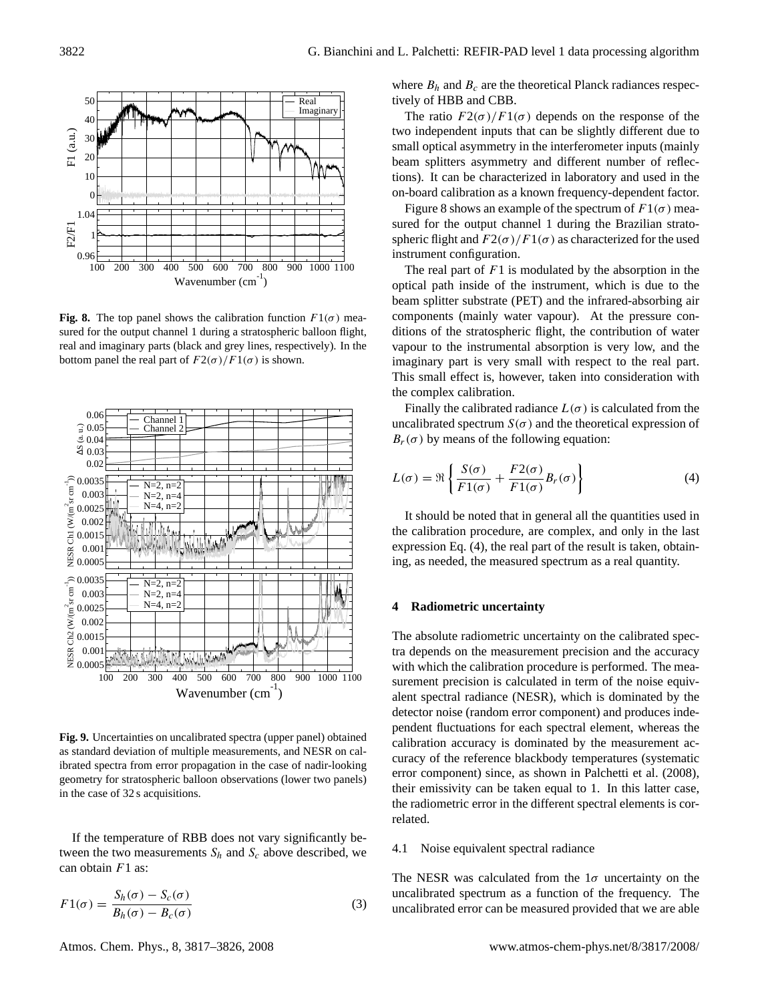

<span id="page-5-1"></span>**Fig. 8.** The top panel shows the calibration function  $F1(\sigma)$  measured for the output channel 1 during a stratospheric balloon flight, real and imaginary parts (black and grey lines, respectively). In the bottom panel the real part of  $F2(\sigma)/F1(\sigma)$  is shown.



<span id="page-5-3"></span>**Fig. 9.** Uncertainties on uncalibrated spectra (upper panel) obtained as standard deviation of multiple measurements, and NESR on calibrated spectra from error propagation in the case of nadir-looking geometry for stratospheric balloon observations (lower two panels) in the case of 32 s acquisitions.

If the temperature of RBB does not vary significantly between the two measurements  $S_h$  and  $S_c$  above described, we can obtain  $F1$  as:

$$
F1(\sigma) = \frac{S_h(\sigma) - S_c(\sigma)}{B_h(\sigma) - B_c(\sigma)}
$$
\n(3)

Atmos. Chem. Phys., 8, 3817[–3826,](#page-0-0) 2008 www.atmos-chem-phys.net/8/3817/2008/

where  $B_h$  and  $B_c$  are the theoretical Planck radiances respectively of HBB and CBB.

The ratio  $F2(\sigma)/F1(\sigma)$  depends on the response of the two independent inputs that can be slightly different due to small optical asymmetry in the interferometer inputs (mainly beam splitters asymmetry and different number of reflections). It can be characterized in laboratory and used in the on-board calibration as a known frequency-dependent factor.

Figure [8](#page-5-1) shows an example of the spectrum of  $F1(\sigma)$  measured for the output channel 1 during the Brazilian stratospheric flight and  $F2(\sigma)/F1(\sigma)$  as characterized for the used instrument configuration.

The real part of  $F1$  is modulated by the absorption in the optical path inside of the instrument, which is due to the beam splitter substrate (PET) and the infrared-absorbing air components (mainly water vapour). At the pressure conditions of the stratospheric flight, the contribution of water vapour to the instrumental absorption is very low, and the imaginary part is very small with respect to the real part. This small effect is, however, taken into consideration with the complex calibration.

Finally the calibrated radiance  $L(\sigma)$  is calculated from the uncalibrated spectrum  $S(\sigma)$  and the theoretical expression of  $B_r(\sigma)$  by means of the following equation:

<span id="page-5-2"></span>
$$
L(\sigma) = \Re \left\{ \frac{S(\sigma)}{F1(\sigma)} + \frac{F2(\sigma)}{F1(\sigma)} B_r(\sigma) \right\}
$$
 (4)

It should be noted that in general all the quantities used in the calibration procedure, are complex, and only in the last expression Eq. [\(4\)](#page-5-2), the real part of the result is taken, obtaining, as needed, the measured spectrum as a real quantity.

#### <span id="page-5-0"></span>**4 Radiometric uncertainty**

The absolute radiometric uncertainty on the calibrated spectra depends on the measurement precision and the accuracy with which the calibration procedure is performed. The measurement precision is calculated in term of the noise equivalent spectral radiance (NESR), which is dominated by the detector noise (random error component) and produces independent fluctuations for each spectral element, whereas the calibration accuracy is dominated by the measurement accuracy of the reference blackbody temperatures (systematic error component) since, as shown in [Palchetti et al.](#page-9-15) [\(2008\)](#page-9-15), their emissivity can be taken equal to 1. In this latter case, the radiometric error in the different spectral elements is correlated.

## 4.1 Noise equivalent spectral radiance

The NESR was calculated from the  $1\sigma$  uncertainty on the uncalibrated spectrum as a function of the frequency. The uncalibrated error can be measured provided that we are able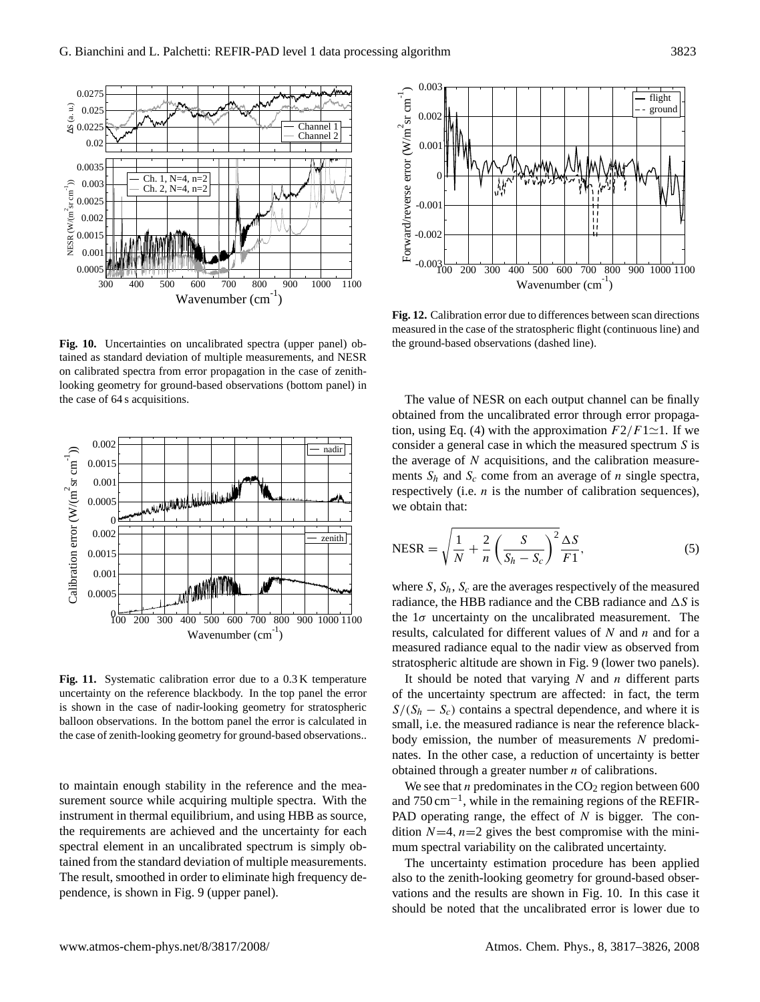

<span id="page-6-0"></span>**Fig. 10.** Uncertainties on uncalibrated spectra (upper panel) obtained as standard deviation of multiple measurements, and NESR on calibrated spectra from error propagation in the case of zenithlooking geometry for ground-based observations (bottom panel) in the case of 64 s acquisitions.



<span id="page-6-1"></span>**Fig. 11.** Systematic calibration error due to a 0.3 K temperature uncertainty on the reference blackbody. In the top panel the error is shown in the case of nadir-looking geometry for stratospheric balloon observations. In the bottom panel the error is calculated in the case of zenith-looking geometry for ground-based observations..

to maintain enough stability in the reference and the measurement source while acquiring multiple spectra. With the instrument in thermal equilibrium, and using HBB as source, the requirements are achieved and the uncertainty for each spectral element in an uncalibrated spectrum is simply obtained from the standard deviation of multiple measurements. The result, smoothed in order to eliminate high frequency dependence, is shown in Fig. [9](#page-5-3) (upper panel).



<span id="page-6-2"></span>**Fig. 12.** Calibration error due to differences between scan directions measured in the case of the stratospheric flight (continuous line) and the ground-based observations (dashed line).

The value of NESR on each output channel can be finally obtained from the uncalibrated error through error propaga-tion, using Eq. [\(4\)](#page-5-2) with the approximation  $F2/F1\simeq 1$ . If we consider a general case in which the measured spectrum S is the average of  $N$  acquisitions, and the calibration measurements  $S_h$  and  $S_c$  come from an average of n single spectra, respectively (i.e.  $n$  is the number of calibration sequences), we obtain that:

<span id="page-6-3"></span>
$$
NESR = \sqrt{\frac{1}{N} + \frac{2}{n} \left(\frac{S}{S_h - S_c}\right)^2} \frac{\Delta S}{F1},
$$
\n(5)

where S,  $S_h$ ,  $S_c$  are the averages respectively of the measured radiance, the HBB radiance and the CBB radiance and  $\Delta S$  is the  $1\sigma$  uncertainty on the uncalibrated measurement. The results, calculated for different values of  $N$  and  $n$  and for a measured radiance equal to the nadir view as observed from stratospheric altitude are shown in Fig. [9](#page-5-3) (lower two panels).

It should be noted that varying  $N$  and  $n$  different parts of the uncertainty spectrum are affected: in fact, the term  $S/(S_h - S_c)$  contains a spectral dependence, and where it is small, i.e. the measured radiance is near the reference blackbody emission, the number of measurements  $N$  predominates. In the other case, a reduction of uncertainty is better obtained through a greater number  $n$  of calibrations.

We see that *n* predominates in the  $CO<sub>2</sub>$  region between 600 and 750 cm−<sup>1</sup> , while in the remaining regions of the REFIR-PAD operating range, the effect of  $N$  is bigger. The condition  $N=4$ ,  $n=2$  gives the best compromise with the minimum spectral variability on the calibrated uncertainty.

The uncertainty estimation procedure has been applied also to the zenith-looking geometry for ground-based observations and the results are shown in Fig. [10.](#page-6-0) In this case it should be noted that the uncalibrated error is lower due to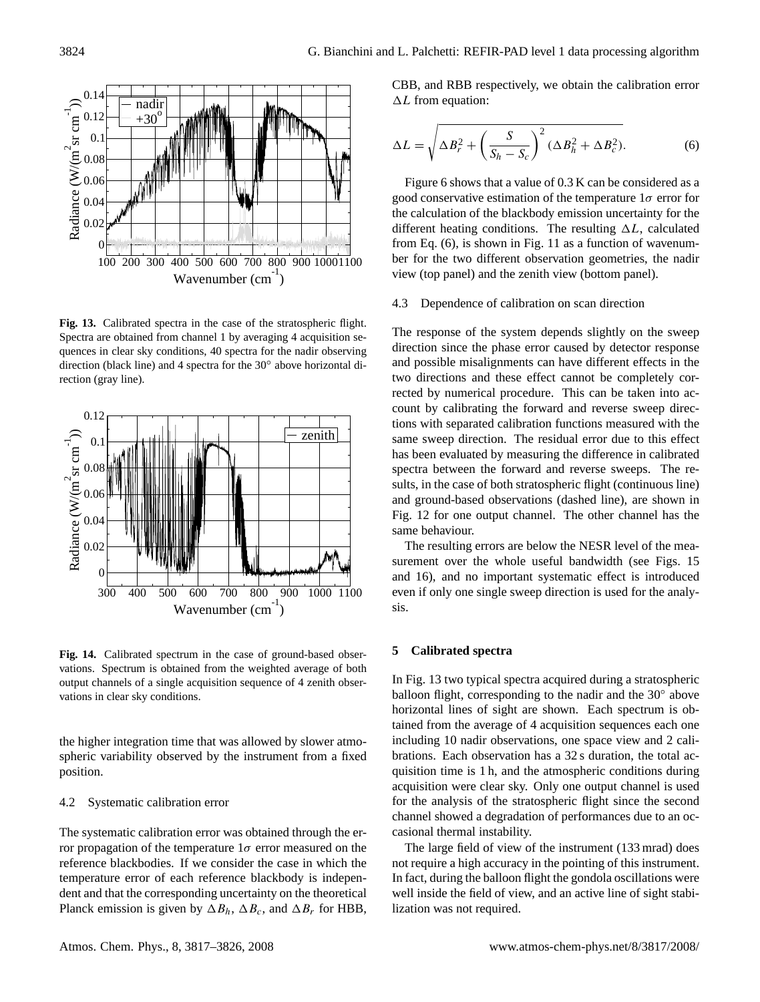

<span id="page-7-2"></span>**Fig. 13.** Calibrated spectra in the case of the stratospheric flight. Spectra are obtained from channel 1 by averaging 4 acquisition sequences in clear sky conditions, 40 spectra for the nadir observing direction (black line) and 4 spectra for the 30◦ above horizontal direction (gray line).



<span id="page-7-3"></span>**Fig. 14.** Calibrated spectrum in the case of ground-based observations. Spectrum is obtained from the weighted average of both output channels of a single acquisition sequence of 4 zenith observations in clear sky conditions.

the higher integration time that was allowed by slower atmospheric variability observed by the instrument from a fixed position.

## 4.2 Systematic calibration error

The systematic calibration error was obtained through the error propagation of the temperature  $1\sigma$  error measured on the reference blackbodies. If we consider the case in which the temperature error of each reference blackbody is independent and that the corresponding uncertainty on the theoretical Planck emission is given by  $\Delta B_h$ ,  $\Delta B_c$ , and  $\Delta B_r$  for HBB, CBB, and RBB respectively, we obtain the calibration error  $\Delta L$  from equation:

<span id="page-7-1"></span>
$$
\Delta L = \sqrt{\Delta B_r^2 + \left(\frac{S}{S_h - S_c}\right)^2 (\Delta B_h^2 + \Delta B_c^2)}.
$$
 (6)

Figure [6](#page-3-2) shows that a value of 0.3 K can be considered as a good conservative estimation of the temperature  $1\sigma$  error for the calculation of the blackbody emission uncertainty for the different heating conditions. The resulting  $\Delta L$ , calculated from Eq. [\(6\)](#page-7-1), is shown in Fig. [11](#page-6-1) as a function of wavenumber for the two different observation geometries, the nadir view (top panel) and the zenith view (bottom panel).

#### 4.3 Dependence of calibration on scan direction

The response of the system depends slightly on the sweep direction since the phase error caused by detector response and possible misalignments can have different effects in the two directions and these effect cannot be completely corrected by numerical procedure. This can be taken into account by calibrating the forward and reverse sweep directions with separated calibration functions measured with the same sweep direction. The residual error due to this effect has been evaluated by measuring the difference in calibrated spectra between the forward and reverse sweeps. The results, in the case of both stratospheric flight (continuous line) and ground-based observations (dashed line), are shown in Fig. [12](#page-6-2) for one output channel. The other channel has the same behaviour.

The resulting errors are below the NESR level of the mea-surement over the whole useful bandwidth (see Figs. [15](#page-8-0) and [16\)](#page-8-1), and no important systematic effect is introduced even if only one single sweep direction is used for the analysis.

#### <span id="page-7-0"></span>**5 Calibrated spectra**

In Fig. [13](#page-7-2) two typical spectra acquired during a stratospheric balloon flight, corresponding to the nadir and the 30° above horizontal lines of sight are shown. Each spectrum is obtained from the average of 4 acquisition sequences each one including 10 nadir observations, one space view and 2 calibrations. Each observation has a 32 s duration, the total acquisition time is 1 h, and the atmospheric conditions during acquisition were clear sky. Only one output channel is used for the analysis of the stratospheric flight since the second channel showed a degradation of performances due to an occasional thermal instability.

The large field of view of the instrument (133 mrad) does not require a high accuracy in the pointing of this instrument. In fact, during the balloon flight the gondola oscillations were well inside the field of view, and an active line of sight stabilization was not required.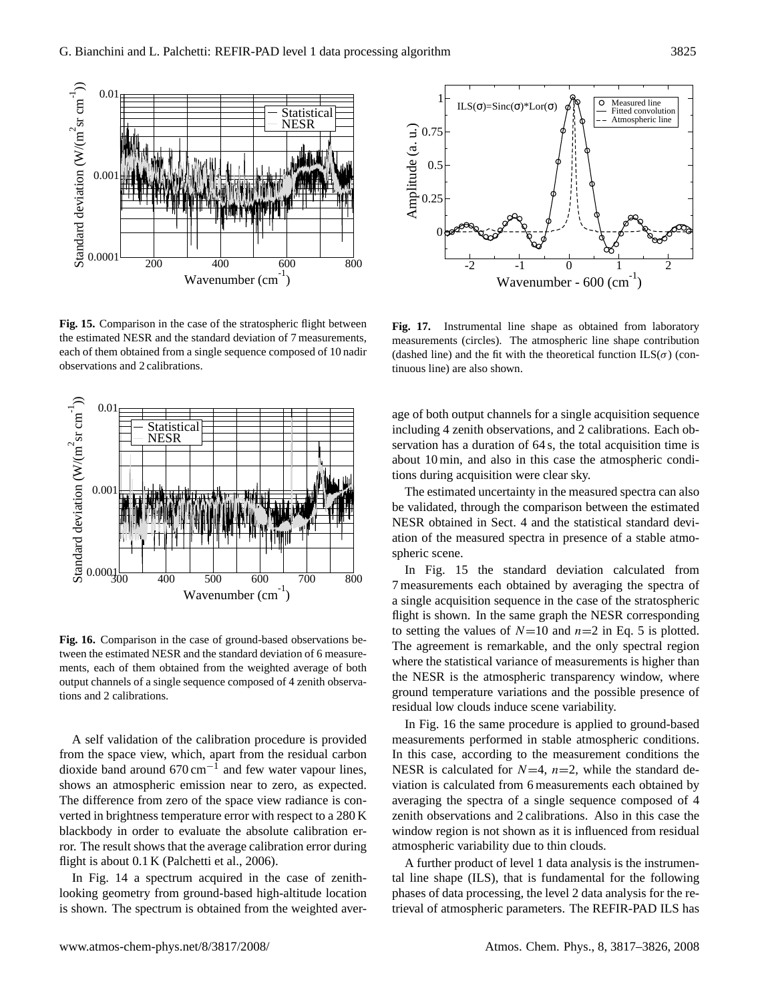

<span id="page-8-0"></span>**Fig. 15.** Comparison in the case of the stratospheric flight between the estimated NESR and the standard deviation of 7 measurements, each of them obtained from a single sequence composed of 10 nadir observations and 2 calibrations.



<span id="page-8-1"></span>**Fig. 16.** Comparison in the case of ground-based observations between the estimated NESR and the standard deviation of 6 measurements, each of them obtained from the weighted average of both output channels of a single sequence composed of 4 zenith observations and 2 calibrations.

A self validation of the calibration procedure is provided from the space view, which, apart from the residual carbon dioxide band around  $670 \text{ cm}^{-1}$  and few water vapour lines, shows an atmospheric emission near to zero, as expected. The difference from zero of the space view radiance is converted in brightness temperature error with respect to a 280 K blackbody in order to evaluate the absolute calibration error. The result shows that the average calibration error during flight is about 0.1 K [\(Palchetti et al.,](#page-9-7) [2006\)](#page-9-7).

In Fig. [14](#page-7-3) a spectrum acquired in the case of zenithlooking geometry from ground-based high-altitude location



<span id="page-8-2"></span>**Fig. 17.** Instrumental line shape as obtained from laboratory measurements (circles). The atmospheric line shape contribution (dashed line) and the fit with the theoretical function  $ILS(\sigma)$  (continuous line) are also shown.

age of both output channels for a single acquisition sequence including 4 zenith observations, and 2 calibrations. Each observation has a duration of 64 s, the total acquisition time is about 10 min, and also in this case the atmospheric conditions during acquisition were clear sky.

The estimated uncertainty in the measured spectra can also be validated, through the comparison between the estimated NESR obtained in Sect. [4](#page-5-0) and the statistical standard deviation of the measured spectra in presence of a stable atmospheric scene.

In Fig. [15](#page-8-0) the standard deviation calculated from 7 measurements each obtained by averaging the spectra of a single acquisition sequence in the case of the stratospheric flight is shown. In the same graph the NESR corresponding to setting the values of  $N=10$  and  $n=2$  in Eq. [5](#page-6-3) is plotted. The agreement is remarkable, and the only spectral region where the statistical variance of measurements is higher than the NESR is the atmospheric transparency window, where ground temperature variations and the possible presence of residual low clouds induce scene variability.

In Fig. [16](#page-8-1) the same procedure is applied to ground-based measurements performed in stable atmospheric conditions. In this case, according to the measurement conditions the NESR is calculated for  $N=4$ ,  $n=2$ , while the standard deviation is calculated from 6 measurements each obtained by averaging the spectra of a single sequence composed of 4 zenith observations and 2 calibrations. Also in this case the window region is not shown as it is influenced from residual atmospheric variability due to thin clouds.

A further product of level 1 data analysis is the instrumental line shape (ILS), that is fundamental for the following phases of data processing, the level 2 data analysis for the retrieval of atmospheric parameters. The REFIR-PAD ILS has